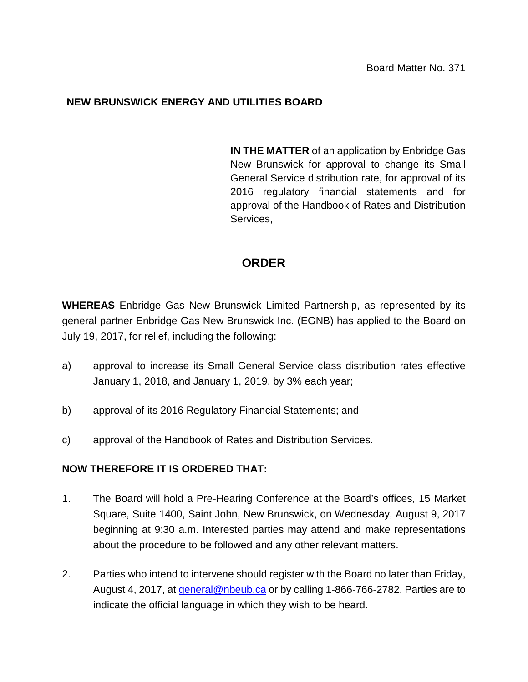## **NEW BRUNSWICK ENERGY AND UTILITIES BOARD**

**IN THE MATTER** of an application by Enbridge Gas New Brunswick for approval to change its Small General Service distribution rate, for approval of its 2016 regulatory financial statements and for approval of the Handbook of Rates and Distribution Services,

## **ORDER**

**WHEREAS** Enbridge Gas New Brunswick Limited Partnership, as represented by its general partner Enbridge Gas New Brunswick Inc. (EGNB) has applied to the Board on July 19, 2017, for relief, including the following:

- a) approval to increase its Small General Service class distribution rates effective January 1, 2018, and January 1, 2019, by 3% each year;
- b) approval of its 2016 Regulatory Financial Statements; and
- c) approval of the Handbook of Rates and Distribution Services.

## **NOW THEREFORE IT IS ORDERED THAT:**

- 1. The Board will hold a Pre-Hearing Conference at the Board's offices, 15 Market Square, Suite 1400, Saint John, New Brunswick, on Wednesday, August 9, 2017 beginning at 9:30 a.m. Interested parties may attend and make representations about the procedure to be followed and any other relevant matters.
- 2. Parties who intend to intervene should register with the Board no later than Friday, August 4, 2017, at *general@nbeub.ca* or by calling 1-866-766-2782. Parties are to indicate the official language in which they wish to be heard.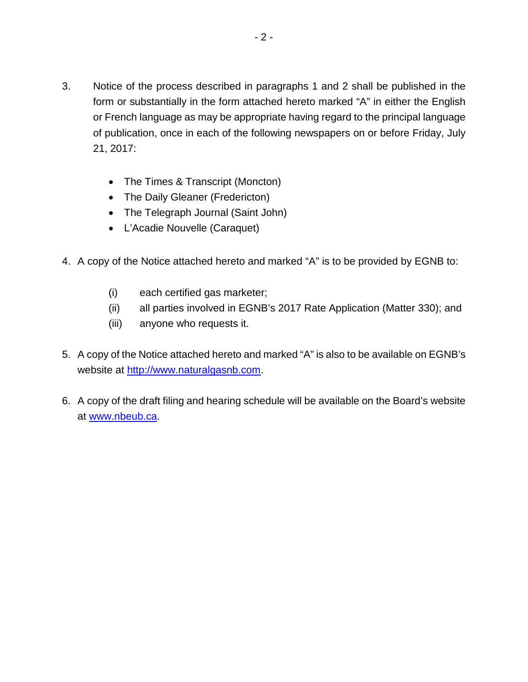- 3. Notice of the process described in paragraphs 1 and 2 shall be published in the form or substantially in the form attached hereto marked "A" in either the English or French language as may be appropriate having regard to the principal language of publication, once in each of the following newspapers on or before Friday, July 21, 2017:
	- The Times & Transcript (Moncton)
	- The Daily Gleaner (Fredericton)
	- The Telegraph Journal (Saint John)
	- L'Acadie Nouvelle (Caraquet)
- 4. A copy of the Notice attached hereto and marked "A" is to be provided by EGNB to:
	- (i) each certified gas marketer;
	- (ii) all parties involved in EGNB's 2017 Rate Application (Matter 330); and
	- (iii) anyone who requests it.
- 5. A copy of the Notice attached hereto and marked "A" is also to be available on EGNB's website at [http://www.naturalgasnb.com.](http://www.naturalgasnb.com/)
- 6. A copy of the draft filing and hearing schedule will be available on the Board's website at [www.nbeub.ca.](http://www.nbeub.ca/)